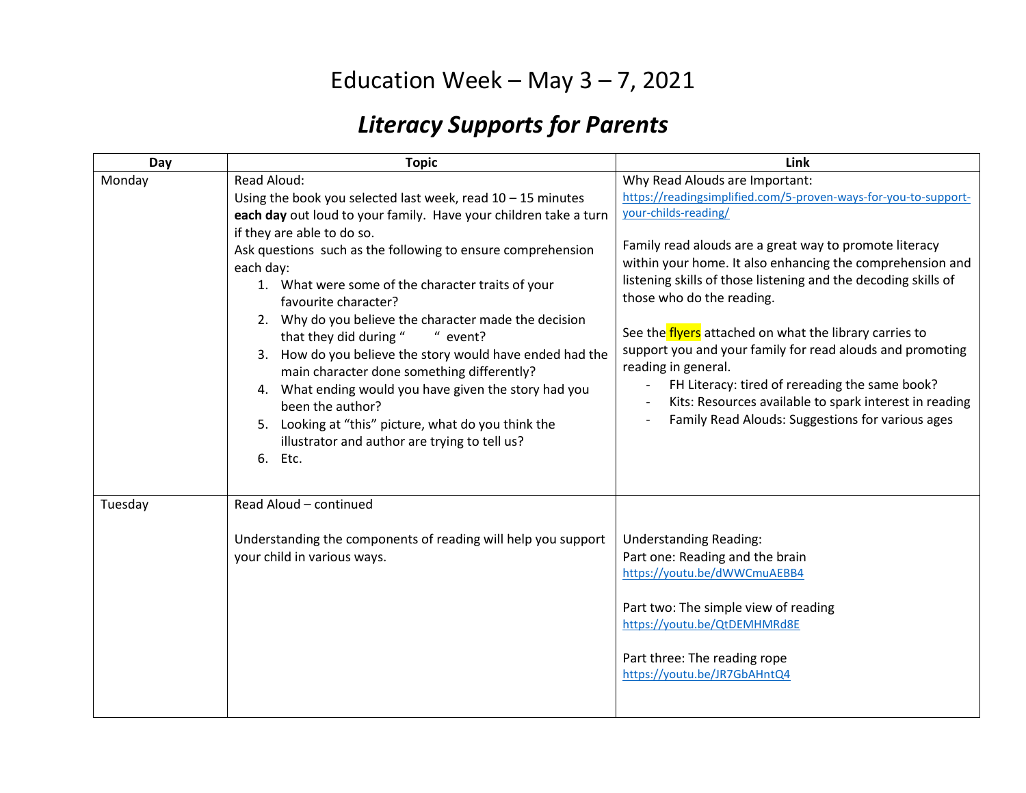## Education Week – May  $3 - 7$ , 2021

## *Literacy Supports for Parents*

| Day     | <b>Topic</b>                                                                                                                                                                                                                                                                                                                                                                                                                                                                                                                                                                                                                                                                                                                                     | Link                                                                                                                                                                                                                                                                                                                                                                                                                                                                                                                                                                                                                                                          |
|---------|--------------------------------------------------------------------------------------------------------------------------------------------------------------------------------------------------------------------------------------------------------------------------------------------------------------------------------------------------------------------------------------------------------------------------------------------------------------------------------------------------------------------------------------------------------------------------------------------------------------------------------------------------------------------------------------------------------------------------------------------------|---------------------------------------------------------------------------------------------------------------------------------------------------------------------------------------------------------------------------------------------------------------------------------------------------------------------------------------------------------------------------------------------------------------------------------------------------------------------------------------------------------------------------------------------------------------------------------------------------------------------------------------------------------------|
| Monday  | Read Aloud:<br>Using the book you selected last week, read $10 - 15$ minutes<br>each day out loud to your family. Have your children take a turn<br>if they are able to do so.<br>Ask questions such as the following to ensure comprehension<br>each day:<br>1. What were some of the character traits of your<br>favourite character?<br>2. Why do you believe the character made the decision<br>that they did during "<br>" event?<br>3. How do you believe the story would have ended had the<br>main character done something differently?<br>4. What ending would you have given the story had you<br>been the author?<br>5. Looking at "this" picture, what do you think the<br>illustrator and author are trying to tell us?<br>6. Etc. | Why Read Alouds are Important:<br>https://readingsimplified.com/5-proven-ways-for-you-to-support-<br>your-childs-reading/<br>Family read alouds are a great way to promote literacy<br>within your home. It also enhancing the comprehension and<br>listening skills of those listening and the decoding skills of<br>those who do the reading.<br>See the flyers attached on what the library carries to<br>support you and your family for read alouds and promoting<br>reading in general.<br>FH Literacy: tired of rereading the same book?<br>Kits: Resources available to spark interest in reading<br>Family Read Alouds: Suggestions for various ages |
| Tuesday | Read Aloud - continued<br>Understanding the components of reading will help you support<br>your child in various ways.                                                                                                                                                                                                                                                                                                                                                                                                                                                                                                                                                                                                                           | <b>Understanding Reading:</b><br>Part one: Reading and the brain<br>https://youtu.be/dWWCmuAEBB4<br>Part two: The simple view of reading<br>https://youtu.be/QtDEMHMRd8E<br>Part three: The reading rope<br>https://youtu.be/JR7GbAHntQ4                                                                                                                                                                                                                                                                                                                                                                                                                      |